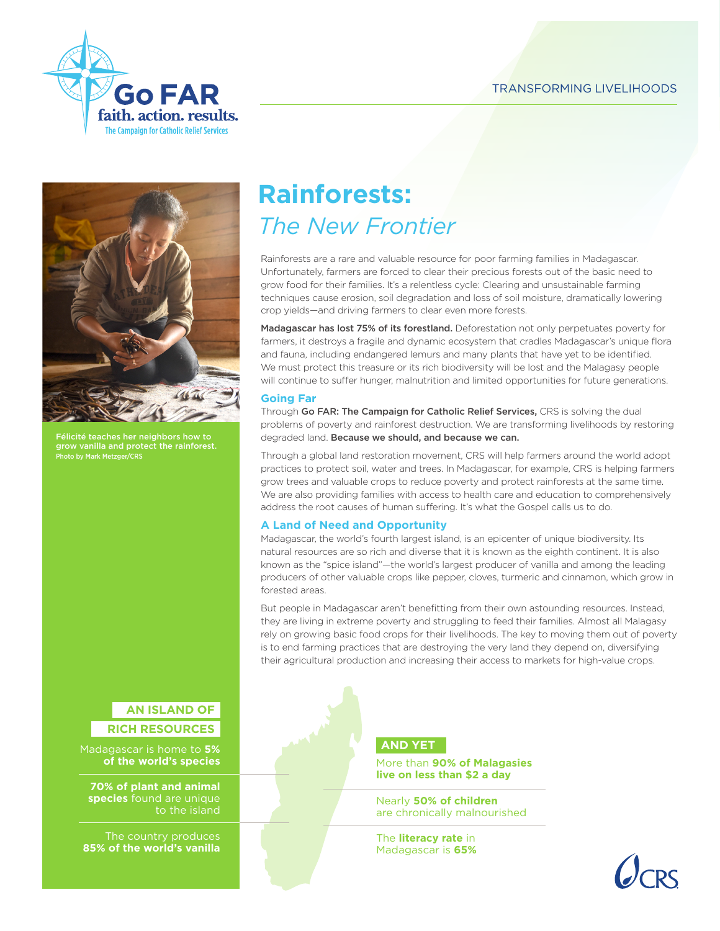



Félicité teaches her neighbors how to grow vanilla and protect the rainforest. -<br>Photo by Mark Metzger/CRS

# **Rainforests:**  *The New Frontier*

Rainforests are a rare and valuable resource for poor farming families in Madagascar. Unfortunately, farmers are forced to clear their precious forests out of the basic need to grow food for their families. It's a relentless cycle: Clearing and unsustainable farming techniques cause erosion, soil degradation and loss of soil moisture, dramatically lowering crop yields—and driving farmers to clear even more forests.

Madagascar has lost 75% of its forestland. Deforestation not only perpetuates poverty for farmers, it destroys a fragile and dynamic ecosystem that cradles Madagascar's unique flora and fauna, including endangered lemurs and many plants that have yet to be identified. We must protect this treasure or its rich biodiversity will be lost and the Malagasy people will continue to suffer hunger, malnutrition and limited opportunities for future generations.

## **Going Far**

Through Go FAR: The Campaign for Catholic Relief Services, CRS is solving the dual problems of poverty and rainforest destruction. We are transforming livelihoods by restoring degraded land. Because we should, and because we can.

Through a global land restoration movement, CRS will help farmers around the world adopt practices to protect soil, water and trees. In Madagascar, for example, CRS is helping farmers grow trees and valuable crops to reduce poverty and protect rainforests at the same time. We are also providing families with access to health care and education to comprehensively address the root causes of human suffering. It's what the Gospel calls us to do.

## **A Land of Need and Opportunity**

Madagascar, the world's fourth largest island, is an epicenter of unique biodiversity. Its natural resources are so rich and diverse that it is known as the eighth continent. It is also known as the "spice island"—the world's largest producer of vanilla and among the leading producers of other valuable crops like pepper, cloves, turmeric and cinnamon, which grow in forested areas.

But people in Madagascar aren't benefitting from their own astounding resources. Instead, they are living in extreme poverty and struggling to feed their families. Almost all Malagasy rely on growing basic food crops for their livelihoods. The key to moving them out of poverty is to end farming practices that are destroying the very land they depend on, diversifying their agricultural production and increasing their access to markets for high-value crops.

## **AN ISLAND OF**

## **RICH RESOURCES**

Madagascar is home to **5% of the world's species**

**70% of plant and animal species** found are unique to the island

The country produces **85% of the world's vanilla** 

## **AND YET**

More than **90% of Malagasies live on less than \$2 a day**

Nearly **50% of children**  are chronically malnourished

The **literacy rate** in Madagascar is **65%**